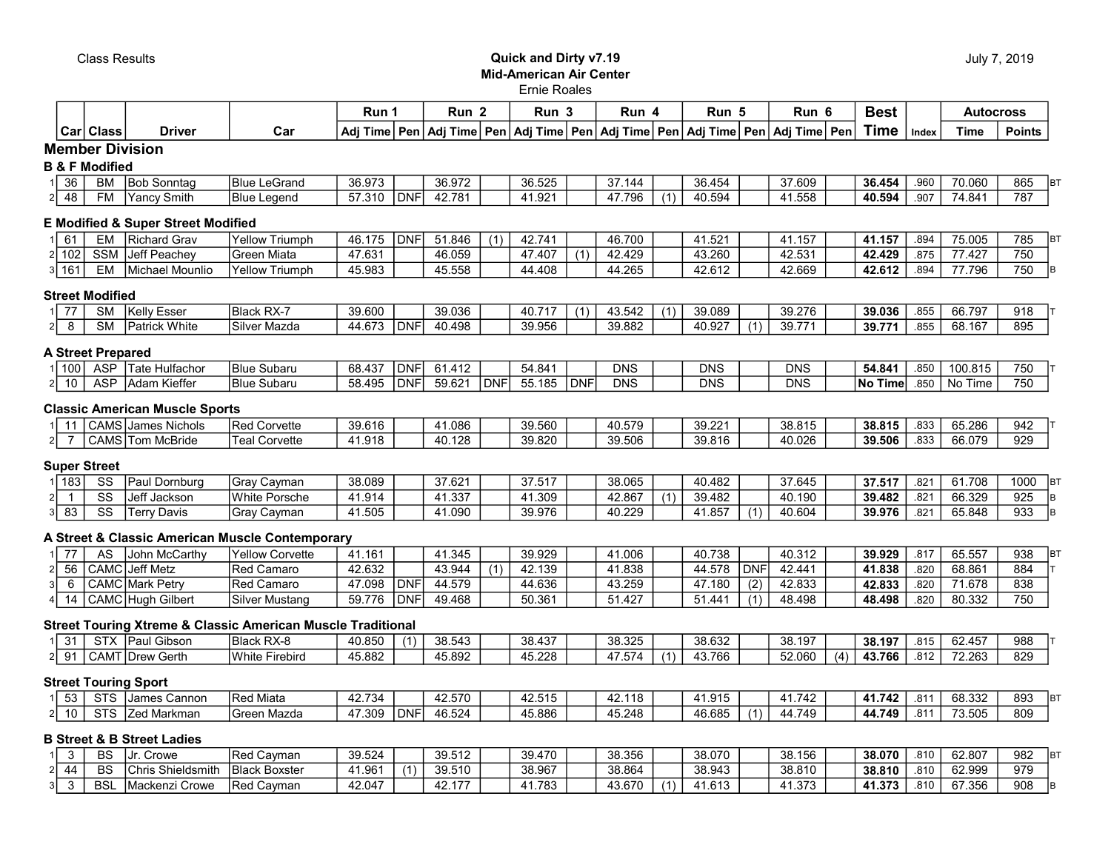## Class Results Quick and Dirty v7.19 Mid-American Air Center

|  | July 7, 2019 |
|--|--------------|
|  |              |

## Ernie Roales

|                                        |                                                  |                                                                    |                                                                        | Run 1            |             | Run <sub>2</sub> |            | Run 3            |            | Run 4            |                  | Run 5            |            | Run 6                                                                                      |     | <b>Best</b>      |              | <b>Autocross</b> |                         |  |
|----------------------------------------|--------------------------------------------------|--------------------------------------------------------------------|------------------------------------------------------------------------|------------------|-------------|------------------|------------|------------------|------------|------------------|------------------|------------------|------------|--------------------------------------------------------------------------------------------|-----|------------------|--------------|------------------|-------------------------|--|
|                                        | Car Class                                        | <b>Driver</b>                                                      | Car                                                                    |                  |             |                  |            |                  |            |                  |                  |                  |            | Adj Time Pen Adj Time Pen Adj Time Pen Adj Time Pen Adj Time Pen Adj Time Pen Adj Time Pen |     | <b>Time</b>      | Index        | <b>Time</b>      | <b>Points</b>           |  |
|                                        | <b>Member Division</b>                           |                                                                    |                                                                        |                  |             |                  |            |                  |            |                  |                  |                  |            |                                                                                            |     |                  |              |                  |                         |  |
|                                        | <b>B &amp; F Modified</b>                        |                                                                    |                                                                        |                  |             |                  |            |                  |            |                  |                  |                  |            |                                                                                            |     |                  |              |                  |                         |  |
| 36                                     | BM                                               | <b>Bob Sonntag</b>                                                 | <b>Blue LeGrand</b>                                                    | 36.973           |             | 36.972           |            | 36.525           |            | 37.144           |                  | 36.454           |            | 37.609                                                                                     |     | 36.454           | .960         | 70.060           | 865<br><b>BT</b>        |  |
| 48                                     | <b>FM</b>                                        | Yancy Smith                                                        | <b>Blue Legend</b>                                                     | 57.310           | <b>IDNF</b> | 42.781           |            | 41.921           |            | 47.796           | (1)              | 40.594           |            | 41.558                                                                                     |     | 40.594           | .907         | 74.841           | 787                     |  |
|                                        |                                                  | <b>E Modified &amp; Super Street Modified</b>                      |                                                                        |                  |             |                  |            |                  |            |                  |                  |                  |            |                                                                                            |     |                  |              |                  |                         |  |
| 61                                     | <b>EM</b>                                        | Richard Grav                                                       | <b>Yellow Triumph</b>                                                  | 46.175           | <b>DNF</b>  | 51.846           | (1)        | 42.741           |            | 46.700           |                  | 41.521           |            | 41.157                                                                                     |     | 41.157           | .894         | 75.005           | 785<br><b>BT</b>        |  |
| 102                                    | <b>SSM</b>                                       | Jeff Peachev                                                       | Green Miata                                                            | 47.631           |             | 46.059           |            | 47.407           | (1)        | 42.429           |                  | 43.260           |            | 42.531                                                                                     |     | 42.429           | .875         | 77.427           | 750                     |  |
| $3 \overline{)161}$                    | EM                                               | Michael Mounlio                                                    | <b>Yellow Triumph</b>                                                  | 45.983           |             | 45.558           |            | 44.408           |            | 44.265           |                  | 42.612           |            | 42.669                                                                                     |     | 42.612           | .894         | 77.796           | 750                     |  |
|                                        | <b>Street Modified</b>                           |                                                                    |                                                                        |                  |             |                  |            |                  |            |                  |                  |                  |            |                                                                                            |     |                  |              |                  |                         |  |
| 77                                     | <b>SM</b>                                        | <b>Kelly Esser</b>                                                 | Black RX-7                                                             | 39.600           |             | 39.036           |            | 40.717           | (1)        | 43.542           | (1)              | 39.089           |            | 39.276                                                                                     |     | 39.036           | .855         | 66.797           | 918                     |  |
| $\overline{8}$<br>2                    | $\overline{\text{SM}}$                           | Patrick White                                                      | Silver Mazda                                                           | 44.673           | <b>IDNF</b> | 40.498           |            | 39.956           |            | 39.882           |                  | 40.927           | (1)        | 39.771                                                                                     |     | 39.771           | .855         | 68.167           | 895                     |  |
|                                        | <b>A Street Prepared</b>                         |                                                                    |                                                                        |                  |             |                  |            |                  |            |                  |                  |                  |            |                                                                                            |     |                  |              |                  |                         |  |
| 1100                                   | <b>ASP</b>                                       | Tate Hulfachor                                                     | <b>Blue Subaru</b>                                                     | 68.437           | DNF         | 61.412           |            | 54.841           |            | <b>DNS</b>       |                  | <b>DNS</b>       |            | <b>DNS</b>                                                                                 |     | 54.841           | .850         | 100.815          | 750                     |  |
| 10                                     | <b>ASP</b>                                       | Adam Kieffer                                                       | <b>Blue Subaru</b>                                                     | 58.495           | <b>DNF</b>  | 59.621           | <b>DNF</b> | 55.185           | <b>DNF</b> | <b>DNS</b>       |                  | <b>DNS</b>       |            | $\overline{DNS}$                                                                           |     | No Time          | .850         | No Time          | 750                     |  |
|                                        |                                                  |                                                                    |                                                                        |                  |             |                  |            |                  |            |                  |                  |                  |            |                                                                                            |     |                  |              |                  |                         |  |
|                                        |                                                  | <b>Classic American Muscle Sports</b><br><b>CAMS</b> James Nichols | <b>Red Corvette</b>                                                    |                  |             |                  |            |                  |            |                  |                  |                  |            |                                                                                            |     |                  |              |                  | 942                     |  |
| 11<br>$\overline{7}$<br>2 <sup>1</sup> |                                                  | CAMS Tom McBride                                                   | Teal Corvette                                                          | 39.616<br>41.918 |             | 41.086<br>40.128 |            | 39.560<br>39.820 |            | 40.579<br>39.506 |                  | 39.221<br>39.816 |            | 38.815<br>40.026                                                                           |     | 38.815<br>39.506 | .833<br>.833 | 65.286<br>66.079 | $\overline{929}$        |  |
|                                        |                                                  |                                                                    |                                                                        |                  |             |                  |            |                  |            |                  |                  |                  |            |                                                                                            |     |                  |              |                  |                         |  |
|                                        | <b>Super Street</b>                              |                                                                    |                                                                        |                  |             |                  |            |                  |            |                  |                  |                  |            |                                                                                            |     |                  |              |                  |                         |  |
| 183                                    | SS                                               | Paul Dornburg                                                      | Gray Cayman                                                            | 38.089           |             | 37.621           |            | 37.517           |            | 38.065           |                  | 40.482           |            | 37.645                                                                                     |     | 37.517           | .821         | 61.708           | 1000<br><b>BT</b>       |  |
| $\mathbf{1}$<br>$\overline{83}$        | $\overline{\text{ss}}$<br>$\overline{\text{ss}}$ | Jeff Jackson                                                       | <b>White Porsche</b>                                                   | 41.914           |             | 41.337<br>41.090 |            | 41.309<br>39.976 |            | 42.867<br>40.229 | $\overline{(1)}$ | 39.482<br>41.857 |            | 40.190<br>40.604                                                                           |     | 39.482<br>39.976 | .821         | 66.329<br>65.848 | 925<br>lв.<br>933<br>lв |  |
|                                        |                                                  | <b>Terry Davis</b>                                                 | Gray Cayman                                                            | 41.505           |             |                  |            |                  |            |                  |                  |                  | (1)        |                                                                                            |     |                  | .821         |                  |                         |  |
|                                        |                                                  |                                                                    | A Street & Classic American Muscle Contemporary                        |                  |             |                  |            |                  |            |                  |                  |                  |            |                                                                                            |     |                  |              |                  |                         |  |
| $\overline{77}$                        | <b>AS</b>                                        | John McCarthy                                                      | <b>Yellow Corvette</b>                                                 | 41.161           |             | 41.345           |            | 39.929           |            | 41.006           |                  | 40.738           |            | 40.312                                                                                     |     | 39.929           | .817         | 65.557           | 938<br><b>BT</b>        |  |
| 56                                     |                                                  | CAMC Jeff Metz                                                     | <b>Red Camaro</b>                                                      | 42.632           |             | 43.944           | (1)        | 42.139           |            | 41.838           |                  | 44.578           | <b>DNF</b> | 42.441                                                                                     |     | 41.838           | .820         | 68.861           | 884                     |  |
| 6                                      |                                                  | <b>CAMC</b> Mark Petry                                             | Red Camaro                                                             | 47.098           | <b>DNF</b>  | 44.579           |            | 44.636           |            | 43.259           |                  | 47.180           | (2)        | 42.833                                                                                     |     | 42.833           | .820         | 71.678           | 838                     |  |
| 14                                     |                                                  | CAMC Hugh Gilbert                                                  | Silver Mustang                                                         | 59.776           | <b>DNF</b>  | 49.468           |            | 50.361           |            | 51.427           |                  | 51.441           | (1)        | 48.498                                                                                     |     | 48.498           | .820         | 80.332           | 750                     |  |
|                                        |                                                  |                                                                    | <b>Street Touring Xtreme &amp; Classic American Muscle Traditional</b> |                  |             |                  |            |                  |            |                  |                  |                  |            |                                                                                            |     |                  |              |                  |                         |  |
| $\overline{31}$                        |                                                  | STX Paul Gibson                                                    | Black RX-8                                                             | 40.850           | (1)         | 38.543           |            | 38.437           |            | 38.325           |                  | 38.632           |            | 38.197                                                                                     |     | 38.197           | .815         | 62.457           | 988                     |  |
| 91                                     |                                                  | CAMT Drew Gerth                                                    | <b>White Firebird</b>                                                  | 45.882           |             | 45.892           |            | 45.228           |            | 47.574           | (1)              | 43.766           |            | 52.060                                                                                     | (4) | 43.766           | .812         | 72.263           | 829                     |  |
|                                        |                                                  | <b>Street Touring Sport</b>                                        |                                                                        |                  |             |                  |            |                  |            |                  |                  |                  |            |                                                                                            |     |                  |              |                  |                         |  |
| $\overline{53}$                        | <b>STS</b>                                       | James Cannon                                                       | Red Miata                                                              | 42.734           |             | 42.570           |            | 42.515           |            | 42.118           |                  | 41.915           |            | 41.742                                                                                     |     | 41.742           | .811         | 68.332           | 893<br><b>BT</b>        |  |
| $\overline{10}$<br>$\overline{2}$      | <b>STS</b>                                       | Zed Markman                                                        | Green Mazda                                                            | 47.309           | <b>DNF</b>  | 46.524           |            | 45.886           |            | 45.248           |                  | 46.685           | (1)        | 44.749                                                                                     |     | 44.749           | .811         | 73.505           | 809                     |  |
|                                        |                                                  | <b>B Street &amp; B Street Ladies</b>                              |                                                                        |                  |             |                  |            |                  |            |                  |                  |                  |            |                                                                                            |     |                  |              |                  |                         |  |
| 3                                      | <b>BS</b>                                        | Ur. Crowe                                                          | Red Cayman                                                             | 39.524           |             | 39.512           |            | 39.470           |            | 38.356           |                  | 38.070           |            | 38.156                                                                                     |     | 38.070           | .810         | 62.807           | 982<br><b>BT</b>        |  |
| 44                                     | <b>BS</b>                                        | Chris Shieldsmith                                                  | <b>Black Boxster</b>                                                   | 41.961           | (1)         | 39.510           |            | 38.967           |            | 38.864           |                  | 38.943           |            | 38.810                                                                                     |     | 38.810           | .810         | 62.999           | 979                     |  |
| $\overline{3}$<br>3                    | <b>BSL</b>                                       | Mackenzi Crowe                                                     | Red Cayman                                                             | 42.047           |             | 42.177           |            | 41.783           |            | 43.670           | (1)              | 41.613           |            | 41.373                                                                                     |     | 41.373           | .810         | 67.356           | 908<br>lв               |  |